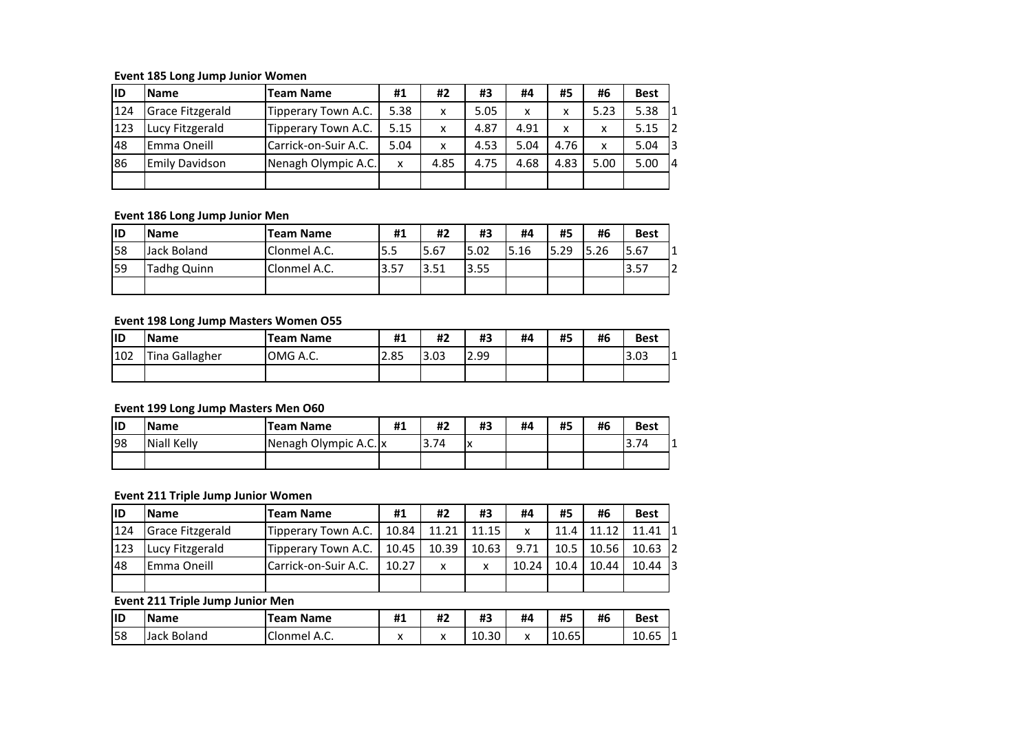### **Event 185 Long Jump Junior Women**

| lid | <b>Name</b>           | <b>Team Name</b>     | #1   | #2   | #3   | #4   | #5   | #6   | <b>Best</b> |
|-----|-----------------------|----------------------|------|------|------|------|------|------|-------------|
| 124 | Grace Fitzgerald      | Tipperary Town A.C.  | 5.38 | X    | 5.05 | X    | x    | 5.23 | 5.38        |
| 123 | Lucy Fitzgerald       | Tipperary Town A.C.  | 5.15 | x    | 4.87 | 4.91 | x    | x    | 2<br>5.15   |
| 48  | Emma Oneill           | Carrick-on-Suir A.C. | 5.04 | X    | 4.53 | 5.04 | 4.76 | x    | 13<br>5.04  |
| 86  | <b>Emily Davidson</b> | Nenagh Olympic A.C.  | x    | 4.85 | 4.75 | 4.68 | 4.83 | 5.00 | 5.00        |
|     |                       |                      |      |      |      |      |      |      |             |

# **Event 186 Long Jump Junior Men**

| liD | <b>Name</b> | <b>Team Name</b> | #1   | #2    | #3   | #4   | #5   | #6   | <b>Best</b> |
|-----|-------------|------------------|------|-------|------|------|------|------|-------------|
| 58  | Jack Boland | Clonmel A.C.     | 5.5  | 15.67 | 5.02 | 5.16 | 5.29 | 5.26 | 5.67        |
| 159 | Tadhg Quinn | Clonmel A.C.     | 3.57 | 3.51  | 3.55 |      |      |      | 3.57        |
|     |             |                  |      |       |      |      |      |      |             |

## **Event 198 Long Jump Masters Women O55**

| lid | <b>Name</b>    | <b>Team Name</b> | #1   | #2   | #3   | #4 | #5 | #6 | <b>Best</b> |
|-----|----------------|------------------|------|------|------|----|----|----|-------------|
| 102 | Tina Gallagher | OMG A.C.         | 2.85 | 3.03 | 2.99 |    |    |    | 3.03        |
|     |                |                  |      |      |      |    |    |    |             |

# **Event 199 Long Jump Masters Men O60**

| lid | <b>Name</b>        | <b>Team Name</b>      | #1 | #2   | #3      | #4 | #5 | #6 | <b>Best</b> |
|-----|--------------------|-----------------------|----|------|---------|----|----|----|-------------|
| 198 | <b>Niall Kelly</b> | Nenagh Olympic A.C. x |    | 3.74 | ıv<br>^ |    |    |    | 3.74        |
|     |                    |                       |    |      |         |    |    |    |             |

# **Event 211 Triple Jump Junior Women**

| lID | <b>IName</b>            | <b>Team Name</b>     | #1    | #2           | #3    | #4    | #5   | #6    | <b>Best</b> |
|-----|-------------------------|----------------------|-------|--------------|-------|-------|------|-------|-------------|
| 124 | <b>Grace Fitzgerald</b> | Tipperary Town A.C.  | 10.84 | 11.21        | 11.15 | x     | 11.4 | 11.12 | 11.41 1     |
| 123 | Lucy Fitzgerald         | Tipperary Town A.C.  | 10.45 | 10.39        | 10.63 | 9.71  | 10.5 | 10.56 | $10.63$ 2   |
| 48  | Emma Oneill             | Carrick-on-Suir A.C. | 10.27 | $\mathsf{x}$ | x     | 10.24 | 10.4 | 10.44 | $10.44$ 3   |
|     |                         |                      |       |              |       |       |      |       |             |

# **Event 211 Triple Jump Junior Men**

| ID | <b>Name</b>           | <b>Team Name</b> | #1                   | #2 | #3    | #4      | #5                                 | <br>πb | <b>Best</b>                       |   |
|----|-----------------------|------------------|----------------------|----|-------|---------|------------------------------------|--------|-----------------------------------|---|
| 58 | Boland<br>122<br>JdLK | :Ionme'<br>¬.ㄴ.  | $\ddot{\phantom{0}}$ |    | 10.30 | $\cdot$ | $\sim$ $\sim$<br>$\sim$<br>10.65 L |        | $\sim$ $\sim$<br>$\sim$<br>TA'n A | ॱ |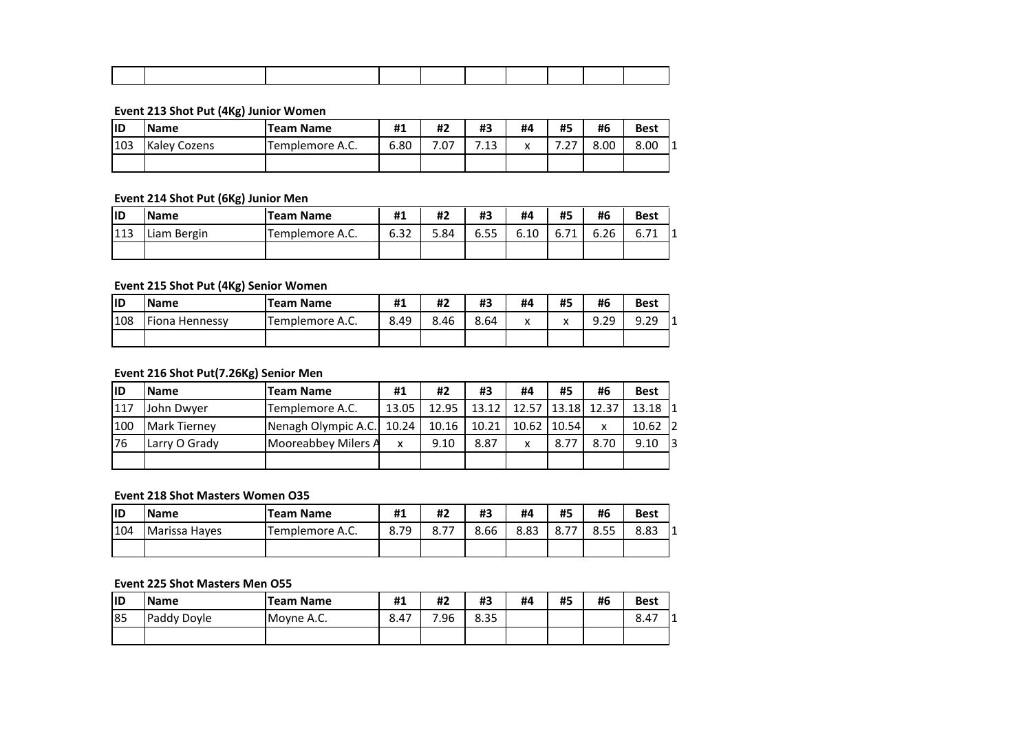#### **Event 213 Shot Put (4Kg) Junior Women**

| lıd | <b>Name</b>  | <b>Team Name</b> | #1   | #2   | #3         | #4                       | #5 | #6   | <b>Best</b> |
|-----|--------------|------------------|------|------|------------|--------------------------|----|------|-------------|
| 103 | Kaley Cozens | Templemore A.C.  | 6.80 | 7.07 | 13<br>د ۲. | $\overline{\phantom{a}}$ |    | 8.00 | 8.00        |
|     |              |                  |      |      |            |                          |    |      |             |

# **Event 214 Shot Put (6Kg) Junior Men**

| lid | <b>Name</b> | <b>Team Name</b> | #1   | #2   | #3   | #4   | #5   | #6   | <b>Best</b>  |
|-----|-------------|------------------|------|------|------|------|------|------|--------------|
| 113 | Liam Bergin | Templemore A.C.  | 6.32 | 5.84 | 6.55 | 6.10 | 6.71 | 6.26 | 0.71<br>b.71 |
|     |             |                  |      |      |      |      |      |      |              |

# **Event 215 Shot Put (4Kg) Senior Women**

| lid | <b>Name</b>    | <b>Team Name</b> | #1   | #2   | #3   | #4      | #5     | #6   | <b>Best</b> |
|-----|----------------|------------------|------|------|------|---------|--------|------|-------------|
| 108 | Fiona Hennessy | Templemore A.C.  | 8.49 | 8.46 | 8.64 | $\cdot$ | v<br>Λ | 9.29 | 9.29        |
|     |                |                  |      |      |      |         |        |      |             |

# **Event 216 Shot Put(7.26Kg) Senior Men**

| lid | <b>Name</b>         | <b>Team Name</b>    | #1    | #2    | #3    | #4    | #5     | #6                    | <b>Best</b> |
|-----|---------------------|---------------------|-------|-------|-------|-------|--------|-----------------------|-------------|
| 117 | John Dwyer          | Templemore A.C.     | 13.05 | 12.95 | 13.12 |       |        | 12.57   13.18   12.37 | 13.18 1     |
| 100 | <b>Mark Tierney</b> | Nenagh Olympic A.C. | 10.24 | 10.16 | 10.21 | 10.62 | 110.54 |                       | $10.62$ 2   |
| 76  | Larry O Grady       | Mooreabbey Milers A | x     | 9.10  | 8.87  |       | 8.77   | 8.70                  | 13<br>9.10  |
|     |                     |                     |       |       |       |       |        |                       |             |

## **Event 218 Shot Masters Women O35**

| lID | <b>Name</b>   | <b>Team Name</b> | #1            | #2   | #3   | #4   | #5        | #6   | <b>Best</b> |
|-----|---------------|------------------|---------------|------|------|------|-----------|------|-------------|
| 104 | Marissa Hayes | Templemore A.C.  | 70<br>$\circ$ | 0.77 | 8.66 | 8.83 | --<br>٥.١ | 8.55 | 8.83        |
|     |               |                  |               |      |      |      |           |      |             |

#### **Event 225 Shot Masters Men O55**

| lid | <b>Name</b> | <b>Team Name</b> | #1   | #2  | #3   | #4 | #5 | #6 | <b>Best</b> |
|-----|-------------|------------------|------|-----|------|----|----|----|-------------|
| 85  | Paddy Doyle | Moyne A.C.       | 8.47 | 96. | 8.35 |    |    |    | 8.47        |
|     |             |                  |      |     |      |    |    |    |             |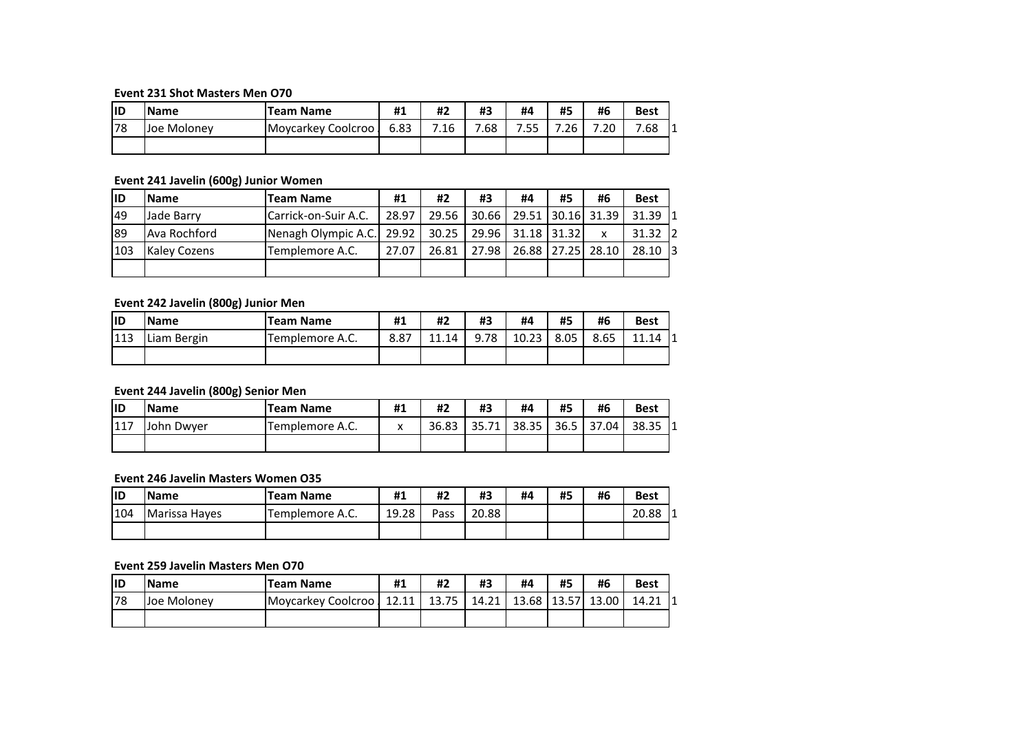#### **Event 231 Shot Masters Men O70**

| lid | <b>Name</b> | <b>Team Name</b>   | #1   | #2   | #3  | #4       | #5   | #6  | <b>Best</b> |
|-----|-------------|--------------------|------|------|-----|----------|------|-----|-------------|
| 78  | Joe Moloney | Moycarkey Coolcroo | 6.83 | 7.16 | .68 | 755<br>. | 7.26 | .20 | 7.68        |
|     |             |                    |      |      |     |          |      |     |             |

# **Event 241 Javelin (600g) Junior Women**

| lid       | <b>Name</b>         | <b>Team Name</b>          | #1    | #2                  | #3    | #4                | #5 | #6                | <b>Best</b> |
|-----------|---------------------|---------------------------|-------|---------------------|-------|-------------------|----|-------------------|-------------|
| <b>49</b> | Jade Barry          | Carrick-on-Suir A.C.      | 28.97 | 29.56               | 30.66 | 29.51 30.16 31.39 |    |                   | $31.39$ 1   |
| 89        | Ava Rochford        | Nenagh Olympic A.C. 29.92 |       | $30.25$ $\parallel$ |       | 29.96 31.18 31.32 |    |                   | $31.32$ 2   |
| 103       | <b>Kaley Cozens</b> | Templemore A.C.           | 27.07 | 26.81               | 27.98 |                   |    | 26.88 27.25 28.10 | $28.10$ 3   |
|           |                     |                           |       |                     |       |                   |    |                   |             |

# **Event 242 Javelin (800g) Junior Men**

| lid | <b>Name</b>    | <b>Team Name</b> | #1   | #2        | #3        | #4    | #5                  | #6   | <b>Best</b>      |
|-----|----------------|------------------|------|-----------|-----------|-------|---------------------|------|------------------|
| 113 | Bergin<br>Liam | Templemore A.C.  | 8.87 | $11.14$ . | 9.78<br>q | 10.23 | <b>8 UE</b><br>o.uo | 8.65 | 11<br>.14<br>I 1 |
|     |                |                  |      |           |           |       |                     |      |                  |

## **Event 244 Javelin (800g) Senior Men**

| lid              | <b>Name</b> | <b>Team Name</b> | #1           | #2    | #3         | #4    | #5   | #6    | <b>Best</b> |
|------------------|-------------|------------------|--------------|-------|------------|-------|------|-------|-------------|
| <b>1117</b><br>. | John Dwver  | Femplemore A.C.  | $\mathbf{v}$ | 36.83 | 35.7<br>74 | 38.35 | 36.5 | 37.04 | 38.35       |
|                  |             |                  |              |       |            |       |      |       |             |

## **Event 246 Javelin Masters Women O35**

| lıd | <b>Name</b>   | <b>Team Name</b> | #1    | #2   | #3    | #4 | #5 | #6 | <b>Best</b> |
|-----|---------------|------------------|-------|------|-------|----|----|----|-------------|
| 104 | Marissa Hayes | Templemore A.C.  | 19.28 | Pass | 20.88 |    |    |    | 20.88       |
|     |               |                  |       |      |       |    |    |    |             |

### **Event 259 Javelin Masters Men O70**

| lid | <b>Name</b> | <b>Team Name</b>     | #1    | #2                           | #3    | #4    | #5    | #6    | <b>Best</b> |
|-----|-------------|----------------------|-------|------------------------------|-------|-------|-------|-------|-------------|
| 78  | Joe Molonev | Moycarkey Coolcroo J | 12.11 | <b>12 7E</b><br><b>AU.IU</b> | 14.21 | 13.68 | 13.57 | 13.00 | 14.21       |
|     |             |                      |       |                              |       |       |       |       |             |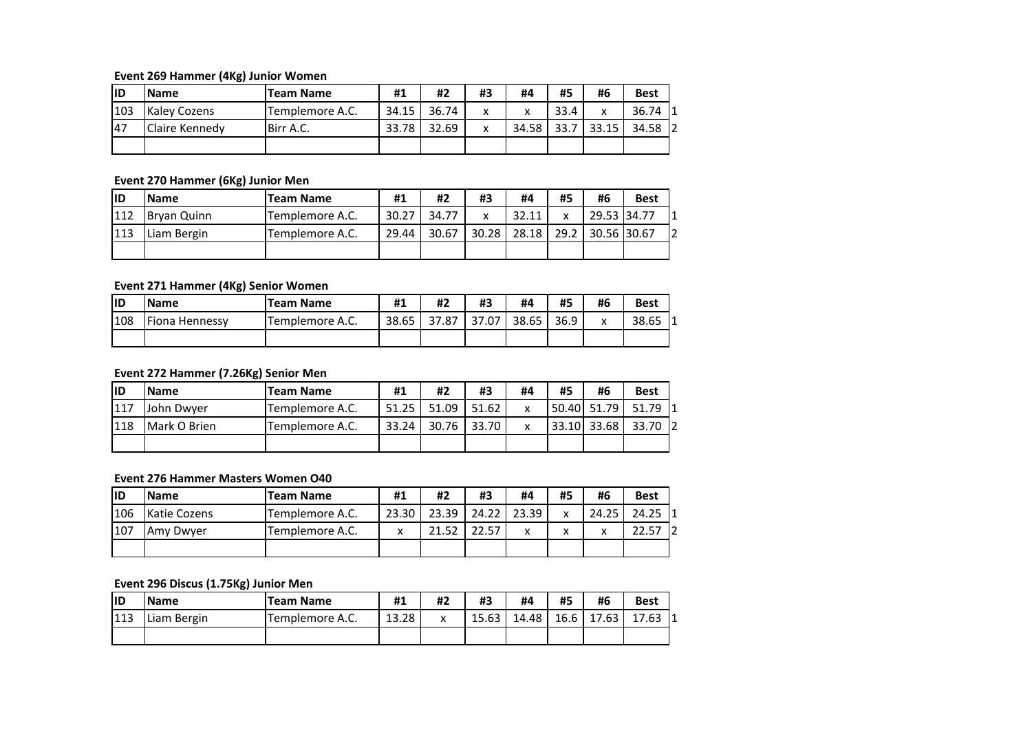**Event 269 Hammer (4Kg) Junior Women**

| lıD | <b>Name</b>         | <b>Team Name</b> | #1    | #2    | #3 | #4    | #5   | #6    | <b>Best</b> |
|-----|---------------------|------------------|-------|-------|----|-------|------|-------|-------------|
| 103 | <b>Kaley Cozens</b> | Templemore A.C.  | 34.15 | 36.74 | x  | v     | 33.4 |       | 36.74       |
| 47  | Claire Kennedy      | Birr A.C.        | 33.78 | 32.69 |    | 34.58 | 33.7 | 33.15 | 12<br>34.58 |
|     |                     |                  |       |       |    |       |      |       |             |

### **Event 270 Hammer (6Kg) Junior Men**

| lid | <b>Name</b> | <b>Team Name</b> | #1    | #2    | #3    | #4    | #5   | #6          | <b>Best</b> |
|-----|-------------|------------------|-------|-------|-------|-------|------|-------------|-------------|
| 112 | Brvan Quinn | Templemore A.C.  | 30.27 | 34.77 | v     | 32.11 | x    | 29.53 34.77 |             |
| 113 | Liam Bergin | Templemore A.C.  | 29.44 | 30.67 | 30.28 | 28.18 | 29.2 | 30.56 30.67 |             |
|     |             |                  |       |       |       |       |      |             |             |

## **Event 271 Hammer (4Kg) Senior Women**

| lid | <b>Name</b>    | <b>Team Name</b> | #1    | #2    | #3    | #4    | #5   | #6 | <b>Best</b> |
|-----|----------------|------------------|-------|-------|-------|-------|------|----|-------------|
| 108 | Fiona Hennessy | Templemore A.C.  | 38.65 | 37.87 | 37.07 | 38.65 | 36.9 | ́  | 38.65       |
|     |                |                  |       |       |       |       |      |    |             |

# **Event 272 Hammer (7.26Kg) Senior Men**

| lid | <b>IName</b> | Team Name       | #1    | #2    | #3    | #4 | #5 | #6          | <b>Best</b>  |
|-----|--------------|-----------------|-------|-------|-------|----|----|-------------|--------------|
| 117 | John Dwver   | Templemore A.C. | 51.25 | 51.09 | 51.62 |    |    | 50.40 51.79 | 51.79        |
| 118 | Mark O Brien | Templemore A.C. | 33.24 | 30.76 | 33.70 |    |    | 33.10 33.68 | 33.70<br>-12 |
|     |              |                 |       |       |       |    |    |             |              |

# **Event 276 Hammer Masters Women O40**

| lıd | <b>IName</b> | <b>Team Name</b> | #1    | #2    | #3    | #4           | #5 | #6    | <b>Best</b> |
|-----|--------------|------------------|-------|-------|-------|--------------|----|-------|-------------|
| 106 | Katie Cozens | Templemore A.C.  | 23.30 | 23.39 | 24.22 | 23.39        | x  | 24.25 | 24.25       |
| 107 | Amy Dwyer    | Templemore A.C.  | x     | 21.52 | 22.57 | $\checkmark$ | x  |       | 5<br>l Z    |
|     |              |                  |       |       |       |              |    |       |             |

### **Event 296 Discus (1.75Kg) Junior Men**

| lid | <b>Name</b>    | <b>Team Name</b> | #1    | #2                | #3    | #4    | #5   | #6    | <b>Best</b> |
|-----|----------------|------------------|-------|-------------------|-------|-------|------|-------|-------------|
| 113 | Bergin<br>Liam | Templemore A.C.  | 13.28 | $\checkmark$<br>^ | 15.63 | 14.48 | 16.6 | 17.63 | 17.63       |
|     |                |                  |       |                   |       |       |      |       |             |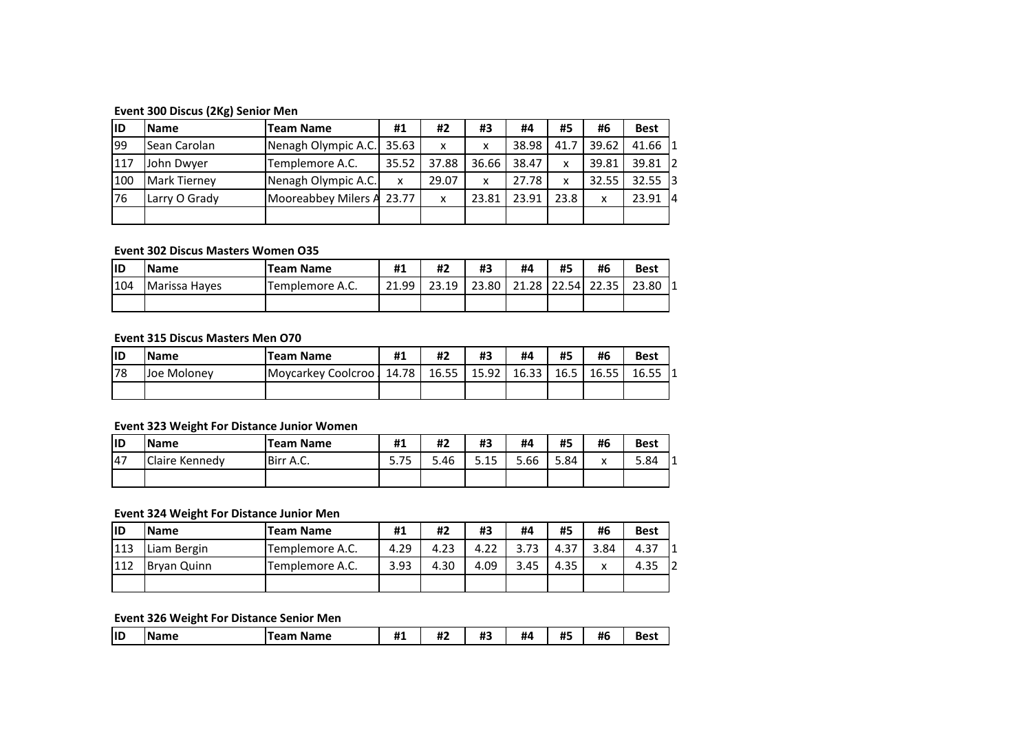### **Event 300 Discus (2Kg) Senior Men**

| liD | <b>Name</b>         | Team Name                 | #1    | #2    | #3    | #4    | #5   | #6    | <b>Best</b> |
|-----|---------------------|---------------------------|-------|-------|-------|-------|------|-------|-------------|
| 99  | Sean Carolan        | Nenagh Olympic A.C.       | 35.63 | X     | x     | 38.98 | 41.7 | 39.62 | $41.66$ 1   |
| 117 | John Dwyer          | Templemore A.C.           | 35.52 | 37.88 | 36.66 | 38.47 | X    | 39.81 | $39.81$ 2   |
| 100 | <b>Mark Tierney</b> | Nenagh Olympic A.C.       | x     | 29.07 | X     | 27.78 | x    | 32.55 | $32.55$ 3   |
| 76  | Larry O Grady       | Mooreabbey Milers A 23.77 |       | X     | 23.81 | 23.91 | 23.8 | x     | 23.91<br>14 |
|     |                     |                           |       |       |       |       |      |       |             |

# **Event 302 Discus Masters Women O35**

| lid | <b>Name</b>   | <b>Team Name</b> | #1    | #2    | #3    | #4 | #5 | #6                | <b>Best</b> |
|-----|---------------|------------------|-------|-------|-------|----|----|-------------------|-------------|
| 104 | Marissa Hayes | Templemore A.C.  | 21.99 | 23.19 | 23.80 |    |    | 21.28 22.54 22.35 | 23.80       |
|     |               |                  |       |       |       |    |    |                   |             |

#### **Event 315 Discus Masters Men O70**

| lid | <b>Name</b> | <b>Team Name</b>   | #1    | #2    | #3    | #4    | #5   | #6    | <b>Best</b> |
|-----|-------------|--------------------|-------|-------|-------|-------|------|-------|-------------|
| 78  | Joe Molonev | Moycarkey Coolcroo | 14.78 | 16.55 | 15.92 | 16.33 | 16.5 | 16.55 | 16.55       |
|     |             |                    |       |       |       |       |      |       |             |

# **Event 323 Weight For Distance Junior Women**

| lid | <b>Name</b>           | <b>Team Name</b> | #1                            | #2   | #3   | #4   | #5   | #6 | <b>Best</b> |
|-----|-----------------------|------------------|-------------------------------|------|------|------|------|----|-------------|
| 147 | <b>Claire Kennedy</b> | Birr A.C.        | $\overline{\phantom{a}}$<br>. | 5.46 | 5.15 | 5.66 | 5.84 | Λ  | 5.84        |
|     |                       |                  |                               |      |      |      |      |    |             |

## **Event 324 Weight For Distance Junior Men**

| lıd | <b>Name</b> | <b>Team Name</b> | #1   | #2   | #3   | #4   | #5   | #6   | <b>Best</b> |
|-----|-------------|------------------|------|------|------|------|------|------|-------------|
| 113 | Liam Bergin | Templemore A.C.  | 4.29 | 4.23 | 4.22 | 73   | 4.37 | 3.84 | 4.37        |
| 112 | Bryan Quinn | Templemore A.C.  | 3.93 | 4.30 | 4.09 | 3.45 | 4.35 |      | 4.35        |
|     |             |                  |      |      |      |      |      |      |             |

### **Event 326 Weight For Distance Senior Men**

| $\mathbf{u}$<br><br>$\mathbf{u}$<br><b>ALC</b><br>#6<br> ID<br>#4<br><b>Name</b><br>Name<br>222<br>п.<br><br>H۰<br>ю<br>ாஃ<br>π.<br>π. | <b>Best</b> |
|----------------------------------------------------------------------------------------------------------------------------------------|-------------|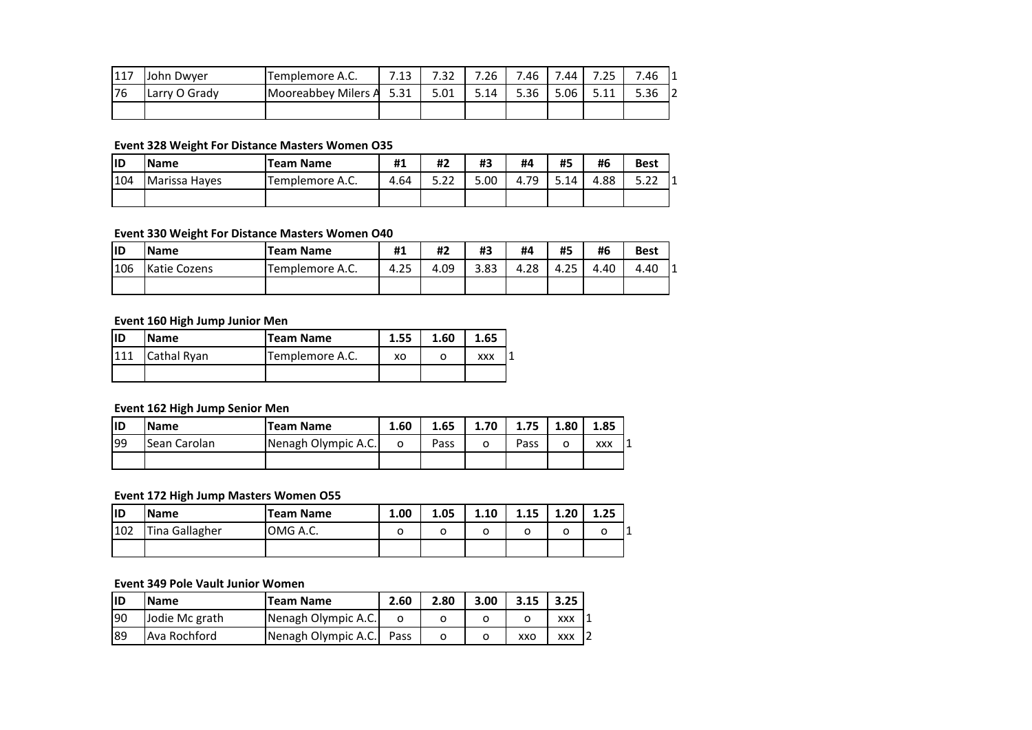| 1117<br>I 1 1 / | John Dwver    | Templemore A.C.     | - 1 2<br>ن ن ن | ר ר<br>2د. | .26  | 7.46 | .44  | .25         | 7.46<br>11       |
|-----------------|---------------|---------------------|----------------|------------|------|------|------|-------------|------------------|
| 76              | Larry O Grady | Mooreabbey Milers A | 5.31           | 5.01       | 5.14 | 5.36 | 5.06 | <b>F</b> 11 | יי<br>5.36<br>ΙZ |
|                 |               |                     |                |            |      |      |      |             |                  |

# **Event 328 Weight For Distance Masters Women O35**

| lid | <b>Name</b>   | <b>Team Name</b> | #1   | #2             | #3   | #4        | #5   | #6   | <b>Best</b>         |
|-----|---------------|------------------|------|----------------|------|-----------|------|------|---------------------|
| 104 | Marissa Hayes | Templemore A.C.  | 4.64 | ר ה<br>ے . ۔ ۔ | 5.00 | 79<br>4.7 | 5.14 | 4.88 | <b>- 22</b><br>J.LL |
|     |               |                  |      |                |      |           |      |      |                     |

## **Event 330 Weight For Distance Masters Women O40**

| lid | <b>Name</b>         | <b>Team Name</b> | #1   | #2   | #3   | #4   | #5           | #6   | <b>Best</b> |
|-----|---------------------|------------------|------|------|------|------|--------------|------|-------------|
| 106 | <b>Katie Cozens</b> | Templemore A.C.  | 4.25 | 4.09 | 3.83 | 4.28 | つち<br>$-4.2$ | 4.40 | 4.40        |
|     |                     |                  |      |      |      |      |              |      |             |

## **Event 160 High Jump Junior Men**

| ID  | <b>Name</b> | <b>Team Name</b> | 1.55 | 1.60 | 1.65       |  |
|-----|-------------|------------------|------|------|------------|--|
| 111 | Cathal Ryan | Templemore A.C.  | xо   |      | <b>XXX</b> |  |
|     |             |                  |      |      |            |  |

# **Event 162 High Jump Senior Men**

| liD | <b>Name</b>  | Team Name           | 1.60 | 1.65 | 1.70 | 1.75 | 1.80 | 1.85       |
|-----|--------------|---------------------|------|------|------|------|------|------------|
| 199 | Sean Carolan | Nenagh Olympic A.C. |      | Pass |      | Pass |      | <b>XXX</b> |
|     |              |                     |      |      |      |      |      |            |

# **Event 172 High Jump Masters Women O55**

| lid | <b>Name</b>    | <b>Team Name</b> | 1.00 | 1.05 | 1.10 | 1.15 | 1.20 | 1.25 |
|-----|----------------|------------------|------|------|------|------|------|------|
| 102 | Tina Gallagher | OMG A.C.         |      |      |      |      |      |      |
|     |                |                  |      |      |      |      |      |      |

#### **Event 349 Pole Vault Junior Women**

| lıd | <b>Name</b>    | Team Name           | 2.60 | 2.80 | 3.00 | 3.15 | 3.25       |
|-----|----------------|---------------------|------|------|------|------|------------|
| 190 | Jodie Mc grath | Nenagh Olympic A.C. |      |      |      |      | <b>XXX</b> |
| 189 | Ava Rochford   | Nenagh Olympic A.C. | Pass |      |      | xxo  | XXX        |